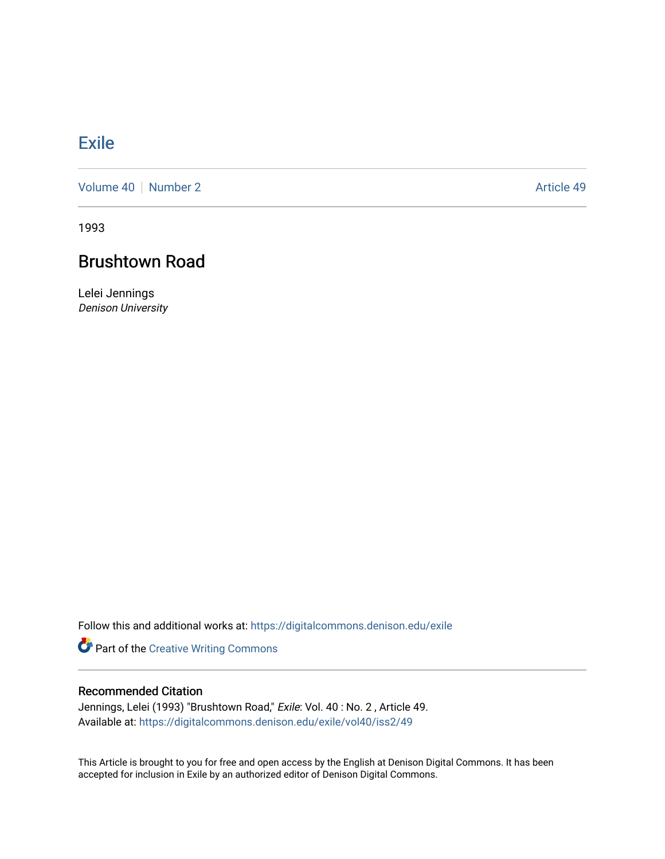## **[Exile](https://digitalcommons.denison.edu/exile)**

[Volume 40](https://digitalcommons.denison.edu/exile/vol40) | [Number 2](https://digitalcommons.denison.edu/exile/vol40/iss2) Article 49

1993

# Brushtown Road

Lelei Jennings Denison University

Follow this and additional works at: [https://digitalcommons.denison.edu/exile](https://digitalcommons.denison.edu/exile?utm_source=digitalcommons.denison.edu%2Fexile%2Fvol40%2Fiss2%2F49&utm_medium=PDF&utm_campaign=PDFCoverPages) 

Part of the [Creative Writing Commons](http://network.bepress.com/hgg/discipline/574?utm_source=digitalcommons.denison.edu%2Fexile%2Fvol40%2Fiss2%2F49&utm_medium=PDF&utm_campaign=PDFCoverPages) 

### Recommended Citation

Jennings, Lelei (1993) "Brushtown Road," Exile: Vol. 40: No. 2, Article 49. Available at: [https://digitalcommons.denison.edu/exile/vol40/iss2/49](https://digitalcommons.denison.edu/exile/vol40/iss2/49?utm_source=digitalcommons.denison.edu%2Fexile%2Fvol40%2Fiss2%2F49&utm_medium=PDF&utm_campaign=PDFCoverPages)

This Article is brought to you for free and open access by the English at Denison Digital Commons. It has been accepted for inclusion in Exile by an authorized editor of Denison Digital Commons.